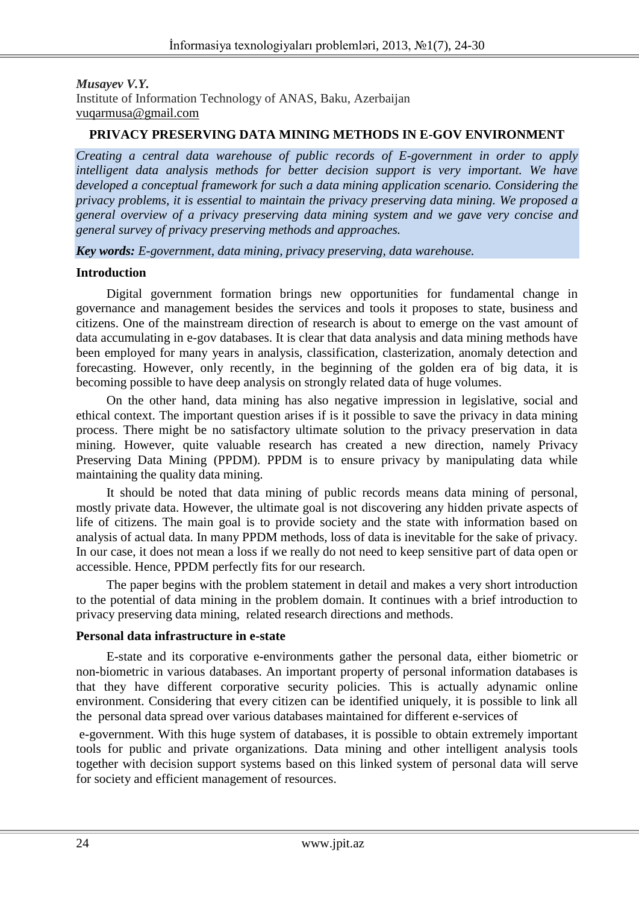*Musayev V.Y.* Institute of Information Technology of ANAS, Baku, Azerbaijan vuqarmusa@gmail.com

### **PRIVACY PRESERVING DATA MINING METHODS IN E-GOV ENVIRONMENT**

*Creating a central data warehouse of public records of E-government in order to apply intelligent data analysis methods for better decision support is very important. We have developed a conceptual framework for such a data mining application scenario. Considering the privacy problems, it is essential to maintain the privacy preserving data mining. We proposed a general overview of a privacy preserving data mining system and we gave very concise and general survey of privacy preserving methods and approaches.*

*Key words: E-government, data mining, privacy preserving, data warehouse.*

### **Introduction**

Digital government formation brings new opportunities for fundamental change in governance and management besides the services and tools it proposes to state, business and citizens. One of the mainstream direction of research is about to emerge on the vast amount of data accumulating in e-gov databases. It is clear that data analysis and data mining methods have been employed for many years in analysis, classification, clasterization, anomaly detection and forecasting. However, only recently, in the beginning of the golden era of big data, it is becoming possible to have deep analysis on strongly related data of huge volumes.

On the other hand, data mining has also negative impression in legislative, social and ethical context. The important question arises if is it possible to save the privacy in data mining process. There might be no satisfactory ultimate solution to the privacy preservation in data mining. However, quite valuable research has created a new direction, namely Privacy Preserving Data Mining (PPDM). PPDM is to ensure privacy by manipulating data while maintaining the quality data mining.

It should be noted that data mining of public records means data mining of personal, mostly private data. However, the ultimate goal is not discovering any hidden private aspects of life of citizens. The main goal is to provide society and the state with information based on analysis of actual data. In many PPDM methods, loss of data is inevitable for the sake of privacy. In our case, it does not mean a loss if we really do not need to keep sensitive part of data open or accessible. Hence, PPDM perfectly fits for our research.

The paper begins with the problem statement in detail and makes a very short introduction to the potential of data mining in the problem domain. It continues with a brief introduction to privacy preserving data mining, related research directions and methods.

### **Personal data infrastructure in e-state**

E-state and its corporative e-environments gather the personal data, either biometric or non-biometric in various databases. An important property of personal information databases is that they have different corporative security policies. This is actually adynamic online environment. Considering that every citizen can be identified uniquely, it is possible to link all the personal data spread over various databases maintained for different e-services of

e-government. With this huge system of databases, it is possible to obtain extremely important tools for public and private organizations. Data mining and other intelligent analysis tools together with decision support systems based on this linked system of personal data will serve for society and efficient management of resources.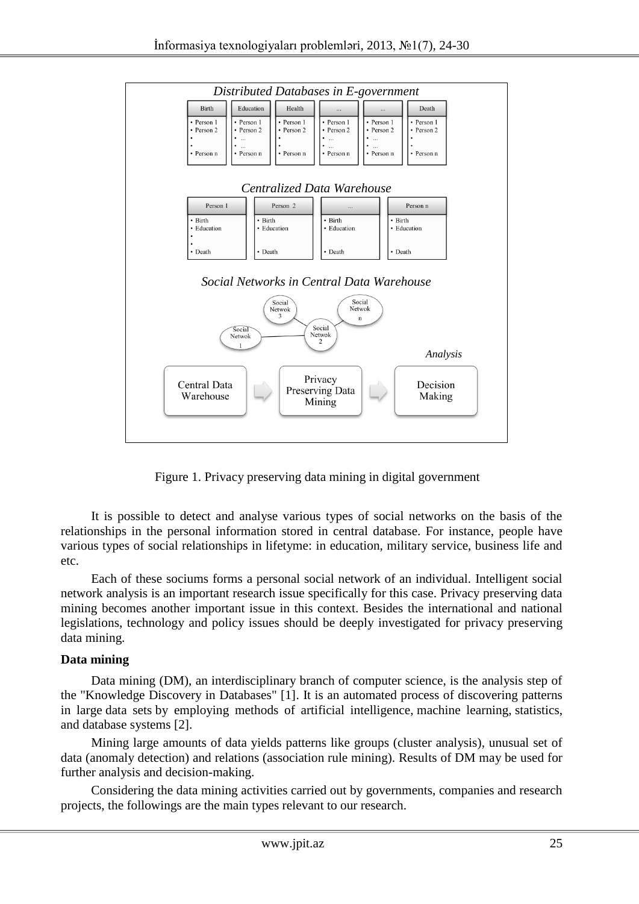

Figure 1. Privacy preserving data mining in digital government

It is possible to detect and analyse various types of social networks on the basis of the relationships in the personal information stored in central database. For instance, people have various types of social relationships in lifetyme: in education, military service, business life and etc.

Each of these sociums forms a personal social network of an individual. Intelligent social network analysis is an important research issue specifically for this case. Privacy preserving data mining becomes another important issue in this context. Besides the international and national legislations, technology and policy issues should be deeply investigated for privacy preserving data mining.

### **Data mining**

Data mining (DM), an interdisciplinary branch of computer science, is the analysis step of the "Knowledge Discovery in Databases" [1]. It is an automated process of discovering patterns in large data sets by employing methods of artificial intelligence, machine learning, statistics, and database systems [2].

Mining large amounts of data yields patterns like groups (cluster analysis), unusual set of data (anomaly detection) and relations (association rule mining). Results of DM may be used for further analysis and decision-making.

Considering the data mining activities carried out by governments, companies and research projects, the followings are the main types relevant to our research.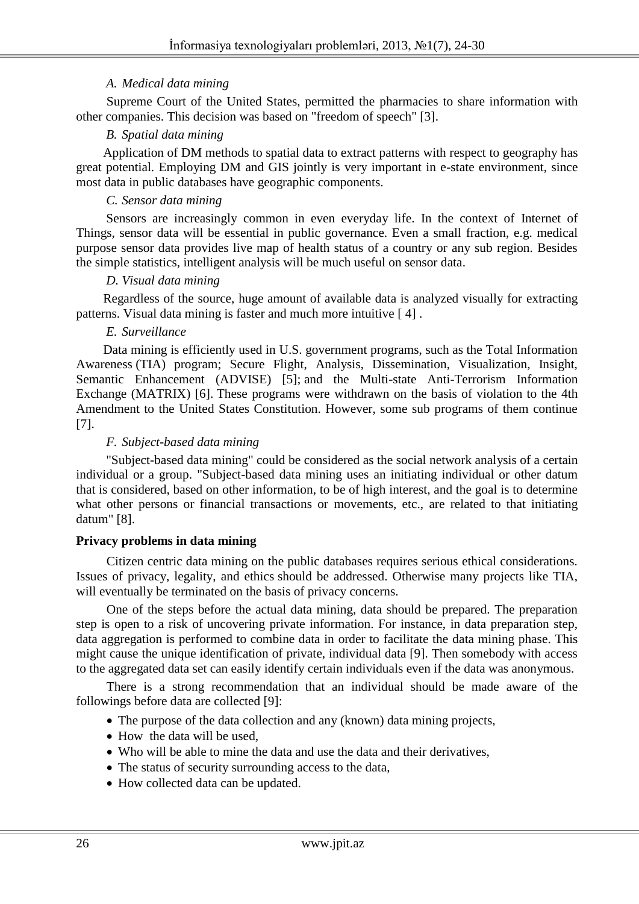## *A. Medical data mining*

Supreme Court of the United States, permitted the pharmacies to share information with other companies. This decision was based on "freedom of speech" [3].

# *B. Spatial data mining*

Application of DM methods to spatial data to extract patterns with respect to geography has great potential. Employing DM and GIS jointly is very important in e-state environment, since most data in public databases have geographic components.

# *C. Sensor data mining*

Sensors are increasingly common in even everyday life. In the context of Internet of Things, sensor data will be essential in public governance. Even a small fraction, e.g. medical purpose sensor data provides live map of health status of a country or any sub region. Besides the simple statistics, intelligent analysis will be much useful on sensor data.

### *D. Visual data mining*

Regardless of the source, huge amount of available data is analyzed visually for extracting patterns. Visual data mining is faster and much more intuitive [ 4] .

### *E. Surveillance*

Data mining is efficiently used in U.S. government programs, such as the Total Information Awareness (TIA) program; Secure Flight, Analysis, Dissemination, Visualization, Insight, Semantic Enhancement (ADVISE) [5]; and the Multi-state Anti-Terrorism Information Exchange (MATRIX) [6]. These programs were withdrawn on the basis of violation to the 4th Amendment to the United States Constitution. However, some sub programs of them continue [7].

## *F. Subject-based data mining*

"Subject-based data mining" could be considered as the social network analysis of a certain individual or a group. "Subject-based data mining uses an initiating individual or other datum that is considered, based on other information, to be of high interest, and the goal is to determine what other persons or financial transactions or movements, etc., are related to that initiating datum" [8].

### **Privacy problems in data mining**

Citizen centric data mining on the public databases requires serious ethical considerations. Issues of privacy, legality, and ethics should be addressed. Otherwise many projects like TIA, will eventually be terminated on the basis of privacy concerns.

One of the steps before the actual data mining, data should be prepared. The preparation step is open to a risk of uncovering private information. For instance, in data preparation step, data aggregation is performed to combine data in order to facilitate the data mining phase. This might cause the unique identification of private, individual data [9]. Then somebody with access to the aggregated data set can easily identify certain individuals even if the data was anonymous.

There is a strong recommendation that an individual should be made aware of the followings before data are collected [9]:

- The purpose of the data collection and any (known) data mining projects,
- How the data will be used.
- Who will be able to mine the data and use the data and their derivatives,
- The status of security surrounding access to the data,
- How collected data can be updated.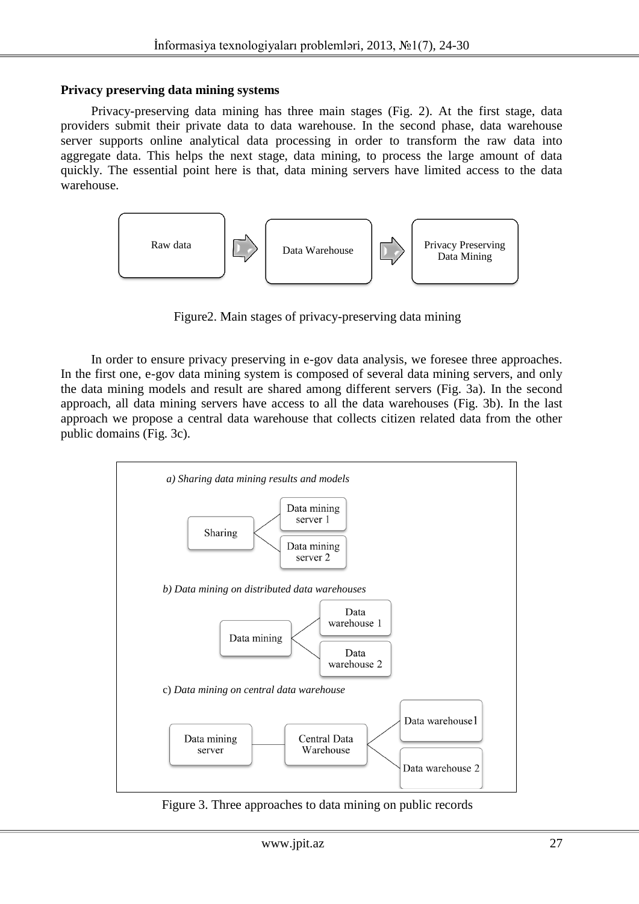#### **Privacy preserving data mining systems**

Privacy-preserving data mining has three main stages (Fig. 2). At the first stage, data providers submit their private data to data warehouse. In the second phase, data warehouse server supports online analytical data processing in order to transform the raw data into aggregate data. This helps the next stage, data mining, to process the large amount of data quickly. The essential point here is that, data mining servers have limited access to the data warehouse.



Figure2. Main stages of privacy-preserving data mining

In order to ensure privacy preserving in e-gov data analysis, we foresee three approaches. In the first one, e-gov data mining system is composed of several data mining servers, and only the data mining models and result are shared among different servers (Fig. 3a). In the second approach, all data mining servers have access to all the data warehouses (Fig. 3b). In the last approach we propose a central data warehouse that collects citizen related data from the other public domains (Fig. 3c).



Figure 3. Three approaches to data mining on public records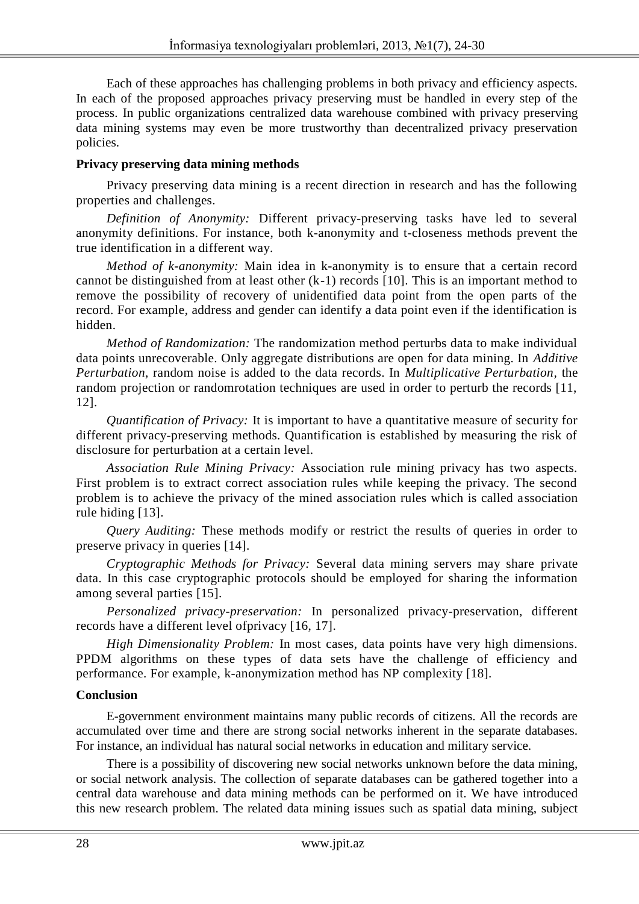Each of these approaches has challenging problems in both privacy and efficiency aspects. In each of the proposed approaches privacy preserving must be handled in every step of the process. In public organizations centralized data warehouse combined with privacy preserving data mining systems may even be more trustworthy than decentralized privacy preservation policies.

# **Privacy preserving data mining methods**

Privacy preserving data mining is a recent direction in research and has the following properties and challenges.

*Definition of Anonymity:* Different privacy-preserving tasks have led to several anonymity definitions. For instance, both k-anonymity and t-closeness methods prevent the true identification in a different way.

*Method of k-anonymity:* Main idea in k-anonymity is to ensure that a certain record cannot be distinguished from at least other (k-1) records [10]. This is an important method to remove the possibility of recovery of unidentified data point from the open parts of the record. For example, address and gender can identify a data point even if the identification is hidden.

*Method of Randomization:* The randomization method perturbs data to make individual data points unrecoverable. Only aggregate distributions are open for data mining. In *Additive Perturbation*, random noise is added to the data records. In *Multiplicative Perturbation,* the random projection or randomrotation techniques are used in order to perturb the records [11, 12].

*Quantification of Privacy:* It is important to have a quantitative measure of security for different privacy-preserving methods. Quantification is established by measuring the risk of disclosure for perturbation at a certain level.

*Association Rule Mining Privacy:* Association rule mining privacy has two aspects. First problem is to extract correct association rules while keeping the privacy. The second problem is to achieve the privacy of the mined association rules which is called association rule hiding [13].

*Query Auditing:* These methods modify or restrict the results of queries in order to preserve privacy in queries [14].

*Cryptographic Methods for Privacy:* Several data mining servers may share private data. In this case cryptographic protocols should be employed for sharing the information among several parties [15].

*Personalized privacy-preservation:* In personalized privacy-preservation, different records have a different level ofprivacy [16, 17].

*High Dimensionality Problem:* In most cases, data points have very high dimensions. PPDM algorithms on these types of data sets have the challenge of efficiency and performance. For example, k-anonymization method has NP complexity [18].

# **Conclusion**

E-government environment maintains many public records of citizens. All the records are accumulated over time and there are strong social networks inherent in the separate databases. For instance, an individual has natural social networks in education and military service.

There is a possibility of discovering new social networks unknown before the data mining, or social network analysis. The collection of separate databases can be gathered together into a central data warehouse and data mining methods can be performed on it. We have introduced this new research problem. The related data mining issues such as spatial data mining, subject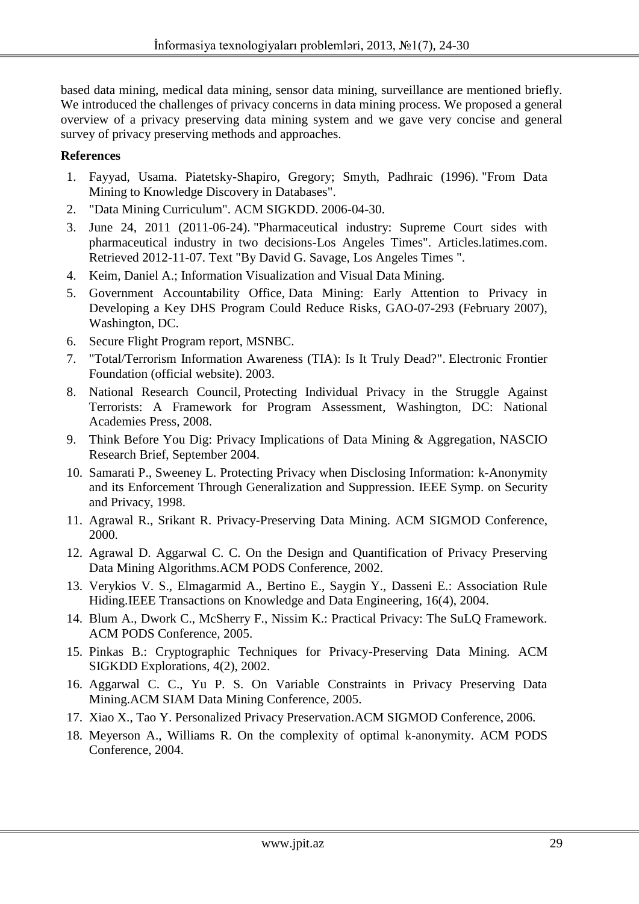based data mining, medical data mining, sensor data mining, surveillance are mentioned briefly. We introduced the challenges of privacy concerns in data mining process. We proposed a general overview of a privacy preserving data mining system and we gave very concise and general survey of privacy preserving methods and approaches.

## **References**

- 1. Fayyad, Usama. Piatetsky-Shapiro, Gregory; Smyth, Padhraic (1996). "From Data Mining to Knowledge Discovery in Databases".
- 2. "Data Mining Curriculum". ACM SIGKDD. 2006-04-30.
- 3. June 24, 2011 (2011-06-24). "Pharmaceutical industry: Supreme Court sides with pharmaceutical industry in two decisions-Los Angeles Times". Articles.latimes.com. Retrieved 2012-11-07. Text "By David G. Savage, Los Angeles Times ".
- 4. Keim, Daniel A.; Information Visualization and Visual Data Mining.
- 5. Government Accountability Office, Data Mining: Early Attention to Privacy in Developing a Key DHS Program Could Reduce Risks, GAO-07-293 (February 2007), Washington, DC.
- 6. Secure Flight Program report, MSNBC.
- 7. "Total/Terrorism Information Awareness (TIA): Is It Truly Dead?". Electronic Frontier Foundation (official website). 2003.
- 8. National Research Council, Protecting Individual Privacy in the Struggle Against Terrorists: A Framework for Program Assessment, Washington, DC: National Academies Press, 2008.
- 9. Think Before You Dig: Privacy Implications of Data Mining & Aggregation, NASCIO Research Brief, September 2004.
- 10. Samarati P., Sweeney L. Protecting Privacy when Disclosing Information: k-Anonymity and its Enforcement Through Generalization and Suppression. IEEE Symp. on Security and Privacy, 1998.
- 11. Agrawal R., Srikant R. Privacy-Preserving Data Mining. ACM SIGMOD Conference, 2000.
- 12. Agrawal D. Aggarwal C. C. On the Design and Quantification of Privacy Preserving Data Mining Algorithms.ACM PODS Conference, 2002.
- 13. Verykios V. S., Elmagarmid A., Bertino E., Saygin Y., Dasseni E.: Association Rule Hiding.IEEE Transactions on Knowledge and Data Engineering, 16(4), 2004.
- 14. Blum A., Dwork C., McSherry F., Nissim K.: Practical Privacy: The SuLQ Framework. ACM PODS Conference, 2005.
- 15. Pinkas B.: Cryptographic Techniques for Privacy-Preserving Data Mining. ACM SIGKDD Explorations, 4(2), 2002.
- 16. Aggarwal C. C., Yu P. S. On Variable Constraints in Privacy Preserving Data Mining.ACM SIAM Data Mining Conference, 2005.
- 17. Xiao X., Tao Y. Personalized Privacy Preservation.ACM SIGMOD Conference, 2006.
- 18. Meyerson A., Williams R. On the complexity of optimal k-anonymity. ACM PODS Conference, 2004.